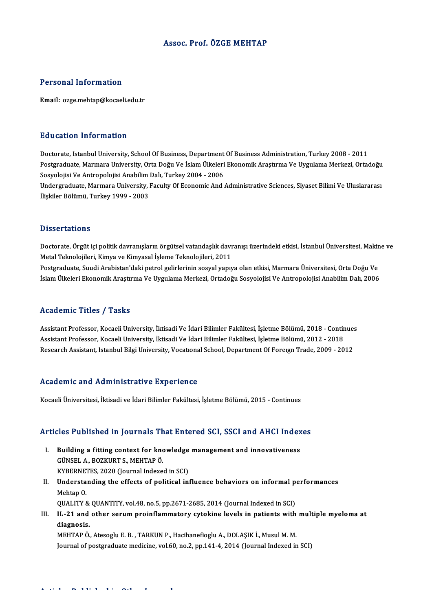# Assoc. Prof. ÖZGE MEHTAP

# Personal Information

Email: ozge.mehtap@kocaeli.edu.tr

# Education Information

E<mark>ducation Information</mark><br>Doctorate, Istanbul University, School Of Business, Department Of Business Administration, Turkey 2008 - 2011<br>Postsraduate Marmara University, Orta Deču Ve İslam Ülteleri Ekonomik Arastırma Ve Uyzul Postgraduate, Marmara University, Orta Doğu Ve İslam Ülkeleri Ekonomik Araştırma Ve Uygulama Merkezi, Ortadoğu<br>Sosyolojisi Ve Antropolojisi Anabilim Dalı, Turkey 2004 - 2006 Doctorate, Istanbul University, School Of Business, Department<br>Postgraduate, Marmara University, Orta Doğu Ve İslam Ülkeleri<br>Sosyolojisi Ve Antropolojisi Anabilim Dalı, Turkey 2004 - 2006<br>Undergraduate Marmara University, Postgraduate, Marmara University, Orta Doğu Ve İslam Ülkeleri Ekonomik Araştırma Ve Uygulama Merkezi, Ortadoğu<br>Sosyolojisi Ve Antropolojisi Anabilim Dalı, Turkey 2004 - 2006<br>Undergraduate, Marmara University, Faculty Of Ec

Sosyolojisi Ve Antropolojisi Anabilim<br>Undergraduate, Marmara University, l<br>İlişkiler Bölümü, Turkey 1999 - 2003 İlişkiler Bölümü, Turkey 1999 - 2003<br>Dissertations

Dissertations<br>Doctorate, Örgüt içi politik davranışların örgütsel vatandaşlık davranışı üzerindeki etkisi, İstanbul Üniversitesi, Makine ve<br>Metal Telmalejileri, Kimya ve Kimyasel İslama Telmalejileri, 2011 Metal Teknolojileri, Kimya ve Kimyasal İşleme Teknolojileri, 2011<br>Postgraduate, Suudi Arabistan'daki petrol gelirlerinin sosyal yapıya olan etkisi, Marmara Üniversitesi, Orta Doğu Ve Doctorate, Örgüt içi politik davranışların örgütsel vatandaşlık davranışı üzerindeki etkisi, İstanbul Üniversitesi, Makir<br>Metal Teknolojileri, Kimya ve Kimyasal İşleme Teknolojileri, 2011<br>Postgraduate, Suudi Arabistan'daki

İslam Ülkeleri Ekonomik Araştırma Ve Uygulama Merkezi, Ortadoğu Sosyolojisi Ve Antropolojisi Anabilim Dalı, 2006

# Academic Titles / Tasks

Academic Titles / Tasks<br>Assistant Professor, Kocaeli University, İktisadi Ve İdari Bilimler Fakültesi, İşletme Bölümü, 2018 - Continues<br>Assistant Professor, Kosaeli University, İktisadi Ve İdari Bilimler Fakültesi, İsletme --caatonne --caet / --aens<br>Assistant Professor, Kocaeli University, İktisadi Ve İdari Bilimler Fakültesi, İşletme Bölümü, 2018 - Contir<br>Besearsh Assistant, İstanbul Bilgi University, İktisadi Ve İdari Bilimler Fakültesi, İ Assistant Professor, Kocaeli University, İktisadi Ve İdari Bilimler Fakültesi, İşletme Bölümü, 2018 - Continue<br>Assistant Professor, Kocaeli University, İktisadi Ve İdari Bilimler Fakültesi, İşletme Bölümü, 2012 - 2018<br>Rese Research Assistant, Istanbul Bilgi University, Vocational School, Department Of Foreign Trade, 2009 - 2012<br>Academic and Administrative Experience

Kocaeli Üniversitesi, İktisadi ve İdari Bilimler Fakültesi, İşletme Bölümü, 2015 - Continues

# Kocaell Universitesi, iktisadi ve idari Bilimler Fakuitesi, işletme Bolumu, 2015 - Continues<br>Articles Published in Journals That Entered SCI, SSCI and AHCI Indexes

- rticles Published in Journals That Entered SCI, SSCI and AHCI Index<br>I. Building a fitting context for knowledge management and innovativeness<br>CÜNSEL A POZKUPTS MEHTARÖ I. Building a fitting context for knowledge management and innovativeness GÜNSEL A., BOZKURT S., MEHTAP Ö. Building a fitting context for knowledge<br>GÜNSEL A., BOZKURT S., MEHTAP Ö.<br>KYBERNETES, 2020 (Journal Indexed in SCI)<br>Understanding the effects of political int
- II. Understanding the effects of political influence behaviors on informal performances Mehtap 0. KYBERNET<br>Understa<br>Mehtap O.<br>OUALITY ( Understanding the effects of political influence behaviors on informal p<br>Mehtap 0.<br>QUALITY & QUANTITY, vol.48, no.5, pp.2671-2685, 2014 (Journal Indexed in SCI)<br>IL 21 and other serum proinflammatery syteking levels in poti Mehtap 0.<br>QUALITY & QUANTITY, vol.48, no.5, pp.2671-2685, 2014 (Journal Indexed in SCI)<br>III. IL-21 and other serum proinflammatory cytokine levels in patients with multiple myeloma at<br>diagnosis
- QUALITY &<br>IL-21 and<br>diagnosis.<br>MEUTAR Ö IL-21 and other serum proinflammatory cytokine levels in patients with<br>diagnosis.<br>MEHTAP Ö., Atesoglu E.B. , TARKUN P., Hacihanefioglu A., DOLAŞIK İ., Musul M. M.<br>Journal of poetaroduate medisine .vel 60, ne 2, nn 141 4, 2

diagnosis.<br>MEHTAP Ö., Atesoglu E. B. , TARKUN P., Hacihanefioglu A., DOLAŞIK İ., Musul M. M.<br>Journal of postgraduate medicine, vol.60, no.2, pp.141-4, 2014 (Journal Indexed in SCI)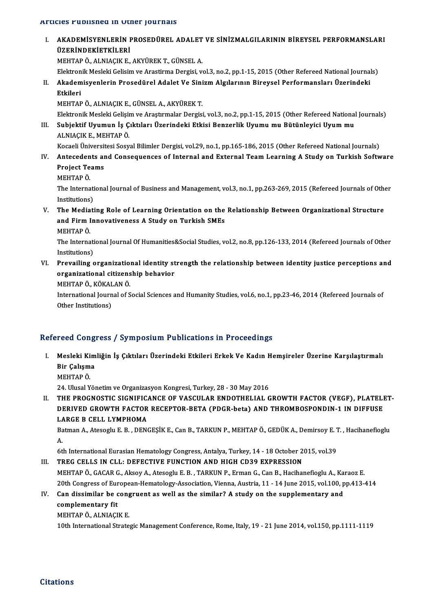## Articles Published in Other Journals

TUCIES PUDIISNEG IN UTNET JOUTNAIS<br>I. – AKADEMİSYENLERİN PROSEDÜREL ADALET VE SİNİZMALGILARININ BİREYSEL PERFORMANSLARI<br>İİZERİNDEKİETKILERİ ILE TUDILMEN INTERNA<br>AKADEMİSYENLERİN I<br>ÜZERİNDEKİETKİLERİ<br>MEHTARÖ ALNIACIK E AKADEMİSYENLERİN PROSEDÜREL ADALET<br>ÜZERİNDEKİETKİLERİ<br>MEHTAP Ö., ALNIAÇIK E., AKYÜREK T., GÜNSEL A.<br>Elektronik Mesleki Celisim ve Arastirma Dersisi, ve **ÜZERİNDEKİETKİLERİ**<br>MEHTAP Ö., ALNIAÇIK E., AKYÜREK T., GÜNSEL A.<br>Elektronik Mesleki Gelisim ve Arastirma Dergisi, vol.3, no.2, pp.1-15, 2015 (Other Refereed National Journals) MEHTAP Ö., ALNIAÇIK E., AKYÜREK T., GÜNSEL A.<br>Elektronik Mesleki Gelisim ve Arastirma Dergisi, vol.3, no.2, pp.1-15, 2015 (Other Refereed National Journa)<br>II. Akademisyenlerin Prosedürel Adalet Ve Sinizm Algılarının Bireys Elektron<br><mark>Akadem</mark><br>Etkileri<br>MEUTAR Akademisyenlerin Prosedürel Adalet Ve Sini<br>Etkileri<br>MEHTAP Ö., ALNIAÇIK E., GÜNSEL A., AKYÜREK T.<br>Elektronik Meeleki Celisim ve Arastumalar Dersisi Etkileri<br>MEHTAP Ö., ALNIAÇIK E., GÜNSEL A., AKYÜREK T.<br>Elektronik Mesleki Gelişim ve Araştırmalar Dergisi, vol.3, no.2, pp.1-15, 2015 (Other Refereed National Journals)<br>Subjektif Huumun İs Cıktıları Üzerindeki Etkisi Benge MEHTAP Ö., ALNIAÇIK E., GÜNSEL A., AKYÜREK T.<br>Elektronik Mesleki Gelişim ve Araştırmalar Dergisi, vol.3, no.2, pp.1-15, 2015 (Other Refereed National<br>III. Subjektif Uyumun İş Çıktıları Üzerindeki Etkisi Benzerlik Uyumu mu Elektronik Mesleki Gelişir<br>Subjektif Uyumun İş Ç<br>ALNIAÇIK E., MEHTAP Ö.<br>Kosaali Ünivarsitesi Sasv Subjektif Uyumun İş Çıktıları Üzerindeki Etkisi Benzerlik Uyumu mu Bütünleyici Uyum mu<br>ALNIAÇIK E., MEHTAP Ö.<br>Kocaeli Üniversitesi Sosyal Bilimler Dergisi, vol.29, no.1, pp.165-186, 2015 (Other Refereed National Journals) ALNIAÇIK E., MEHTAP Ö.<br>Kocaeli Üniversitesi Sosyal Bilimler Dergisi, vol.29, no.1, pp.165-186, 2015 (Other Refereed National Journals)<br>IV. Antecedents and Consequences of Internal and External Team Learning A Study on Kocaeli Üniversit<br>Antecedents ar<br>Project Teams<br>MEUTAD Ö MEHTAPÖ. Project Teams<br>MEHTAP Ö.<br>The International Journal of Business and Management, vol.3, no.1, pp.263-269, 2015 (Refereed Journals of Other MEHTAP Ö.<br>The Internati<br>Institutions)<br>The Mediati The International Journal of Business and Management, vol.3, no.1, pp.263-269, 2015 (Refereed Journals of Othe<br>Institutions)<br>V. The Mediating Role of Learning Orientation on the Relationship Between Organizational Structur Institutions)<br>The Mediating Role of Learning Orientation on the<br>and Firm Innovativeness A Study on Turkish SMEs<br>MEUTARÖ The Media<br>and Firm I<br>MEHTAP Ö.<br><sup>The Interne</sup> and Firm Innovativeness A Study on Turkish SMEs<br>MEHTAP Ö.<br>The International Journal Of Humanities&Social Studies, vol.2, no.8, pp.126-133, 2014 (Refereed Journals of Other<br>Institutions) MEHTAP Ö.<br>The Internati<br>Institutions)<br>Preveiling c The International Journal Of Humanities&Social Studies, vol.2, no.8, pp.126-133, 2014 (Refereed Journals of Other<br>Institutions)<br>VI. Prevailing organizational identity strength the relationship between identity justice perc Institutions)<br>VI. Prevailing organizational identity strength the relationship between identity justice perceptions and organizational citizenship behavior International Journal of Social Sciences and Humanity Studies, vol.6, no.1, pp.23-46, 2014 (Refereed Journals of Other Institutions) MEHTAP Ö., KÖKALAN Ö.

# Refereed Congress / Symposium Publications in Proceedings

efereed Congress / Symposium Publications in Proceedings<br>I. Mesleki Kimliğin İş Çıktıları Üzerindeki Etkileri Erkek Ve Kadın Hemşireler Üzerine Karşılaştırmalı<br>Rir Columa 1994 Song.<br>Mesleki Kim<br>Bir Çalışma Mesleki Ki<br>Bir Çalışm<br>MEHTAP Ö.<br>24 Ulusal Y Bir Çalışma<br>MEHTAP Ö.<br>24. Ulusal Yönetim ve Organizasyon Kongresi, Turkey, 28 - 30 May 2016

II. THE PROGNOSTIC SIGNIFICANCE OF VASCULAR ENDOTHELIAL GROWTH FACTOR (VEGF), PLATELET-24. Ulusal Yönetim ve Organizasyon Kongresi, Turkey, 28 - 30 May 2016<br>THE PROGNOSTIC SIGNIFICANCE OF VASCULAR ENDOTHELIAL GROWTH FACTOR (VEGF), PLATELI<br>DERIVED GROWTH FACTOR RECEPTOR-BETA (PDGR-beta) AND THROMBOSPONDIN-1 I THE PROGNOSTIC SIGNIFIC<br>DERIVED GROWTH FACTOR<br>LARGE B CELL LYMPHOMA<br>Patman A Ataaach: E B - DEN DERIVED GROWTH FACTOR RECEPTOR-BETA (PDGR-beta) AND THROMBOSPONDIN-1 IN DIFFUSE<br>LARGE B CELL LYMPHOMA<br>Batman A., Atesoglu E. B. , DENGEŞİK E., Can B., TARKUN P., MEHTAP Ö., GEDÜK A., Demirsoy E. T. , Hacihanefioglu<br>A

 $\mathbf{L}$ <br>Ba<br>A. Batman A., Atesoglu E. B. , DENGEŞİK E., Can B., TARKUN P., MEHTAP Ö., GEDÜK A., Demirsoy E. T. , Hacihanefioglu<br>A.<br>6th International Eurasian Hematology Congress, Antalya, Turkey, 14 - 18 October 2015, vol.39

III. TREG CELLS IN CLL: DEFECTIVE FUNCTION AND HIGH CD39 EXPRESSION

MEHTAP Ö., GACAR G., Aksoy A., Atesoglu E. B., TARKUN P., Erman G., Can B., Hacihanefioglu A., Karaoz E. TREG CELLS IN CLL: DEFECTIVE FUNCTION AND HIGH CD39 EXPRESSION<br>MEHTAP Ö., GACAR G., Aksoy A., Atesoglu E. B. , TARKUN P., Erman G., Can B., Hacihanefioglu A., Karaoz E.<br>20th Congress of European-Hematology-Association, Vie MEHTAP Ö., GACAR G., Aksoy A., Atesoglu E. B. , TARKUN P., Erman G., Can B., Hacihanefioglu A., Ka<br>20th Congress of European-Hematology-Association, Vienna, Austria, 11 - 14 June 2015, vol.100, p<br>IV. Can dissimilar be cong

# 20th Congress of Eur<br>Can dissimilar be complementary fit<br>MEHTAR Ö ALNIACI Can dissimilar be cong<br>complementary fit<br>MEHTAP Ö., ALNIAÇIK E.<br>10th International Strate complementary fit<br>MEHTAP Ö., ALNIAÇIK E.<br>10th International Strategic Management Conference, Rome, Italy, 19 - 21 June 2014, vol.150, pp.1111-1119